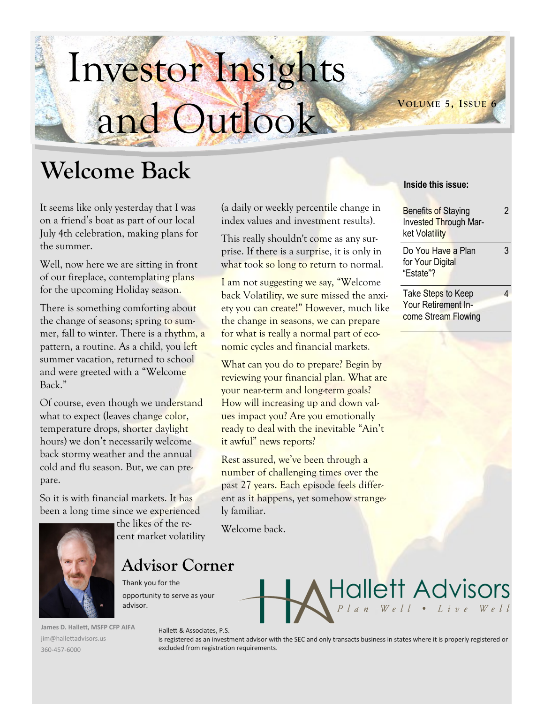# Investor Insights and Outlook

## **Welcome Back**

It seems like only yesterday that I was on a friend's boat as part of our local July 4th celebration, making plans for the summer.

Well, now here we are sitting in front of our fireplace, contemplating plans for the upcoming Holiday season.

There is something comforting about the change of seasons; spring to summer, fall to winter. There is a rhythm, a pattern, a routine. As a child, you left summer vacation, returned to school and were greeted with a "Welcome Back."

Of course, even though we understand what to expect (leaves change color, temperature drops, shorter daylight hours) we don't necessarily welcome back stormy weather and the annual cold and flu season. But, we can prepare.

So it is with financial markets. It has been a long time since we experienced

the likes of the recent market volatility

**Advisor Corner**

Thank you for the opportunity to serve as your advisor.

**James D. Hallett, MSFP CFP AIFA** jim@hallettadvisors.us 360-457-6000

## (a daily or weekly percentile change in index values and investment results).

This really shouldn't come as any surprise. If there is a surprise, it is only in what took so long to return to normal.

I am not suggesting we say, "Welcome back Volatility, we sure missed the anxiety you can create!" However, much like the change in seasons, we can prepare for what is really a normal part of economic cycles and financial markets.

What can you do to prepare? Begin by reviewing your financial plan. What are your near-term and long-term goals? How will increasing up and down values impact you? Are you emotionally ready to deal with the inevitable "Ain't it awful" news reports?

Rest assured, we've been through a number of challenging times over the past 27 years. Each episode feels different as it happens, yet somehow strangely familiar.

Welcome back.

# Hallett Advisors

Hallett & Associates, P.S. is registered as an investment advisor with the SEC and only transacts business in states where it is properly registered or excluded from registration requirements.

## **Inside this issue:**

**VOLUME 5, I SSUE 6**

| <b>Benefits of Staying</b><br>Invested Through Mar-<br>ket Volatility |  |
|-----------------------------------------------------------------------|--|
| Do You Have a Plan<br>for Your Digital<br>"Estate"?                   |  |
| Take Steps to Keep<br>Your Retirement In-                             |  |

come Stream Flowing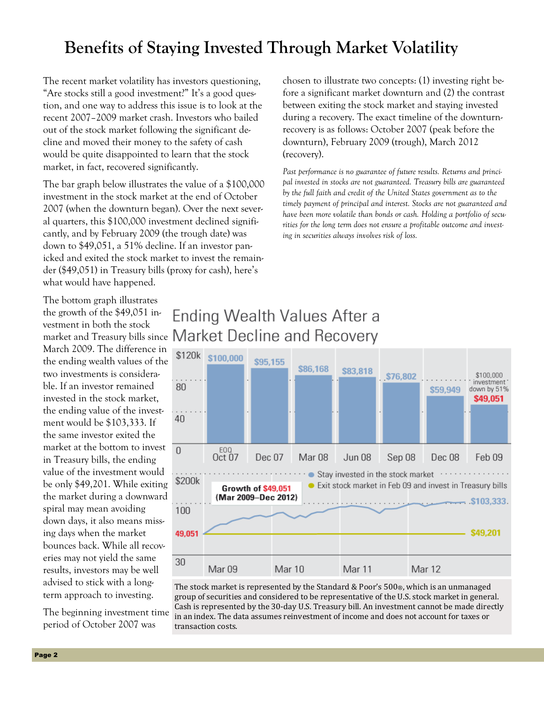## **Benefits of Staying Invested Through Market Volatility**

The recent market volatility has investors questioning, "Are stocks still a good investment?" It's a good question, and one way to address this issue is to look at the recent 2007–2009 market crash. Investors who bailed out of the stock market following the significant decline and moved their money to the safety of cash would be quite disappointed to learn that the stock market, in fact, recovered significantly.

The bar graph below illustrates the value of a \$100,000 investment in the stock market at the end of October 2007 (when the downturn began). Over the next several quarters, this \$100,000 investment declined significantly, and by February 2009 (the trough date) was down to \$49,051, a 51% decline. If an investor panicked and exited the stock market to invest the remainder (\$49,051) in Treasury bills (proxy for cash), here's what would have happened.

chosen to illustrate two concepts: (1) investing right before a significant market downturn and (2) the contrast between exiting the stock market and staying invested during a recovery. The exact timeline of the downturnrecovery is as follows: October 2007 (peak before the downturn), February 2009 (trough), March 2012 (recovery).

*Past performance is no guarantee of future results. Returns and principal invested in stocks are not guaranteed. Treasury bills are guaranteed by the full faith and credit of the United States government as to the timely payment of principal and interest. Stocks are not guaranteed and have been more volatile than bonds or cash. Holding a portfolio of securities for the long term does not ensure a profitable outcome and investing in securities always involves risk of loss.*

The bottom graph illustrates the growth of the \$49,051 investment in both the stock March 2009. The difference in the ending wealth values of the two investments is considerable. If an investor remained invested in the stock market, the ending value of the investment would be \$103,333. If the same investor exited the market at the bottom to invest in Treasury bills, the ending value of the investment would be only \$49,201. While exiting the market during a downward spiral may mean avoiding down days, it also means missing days when the market bounces back. While all recoveries may not yield the same results, investors may be well advised to stick with a longterm approach to investing.

The beginning investment time period of October 2007 was





The stock market is represented by the Standard & Poor's 500®, which is an unmanaged group of securities and considered to be representative of the U.S. stock market in general. Cash is represented by the 30-day U.S. Treasury bill. An investment cannot be made directly in an index. The data assumes reinvestment of income and does not account for taxes or transaction costs.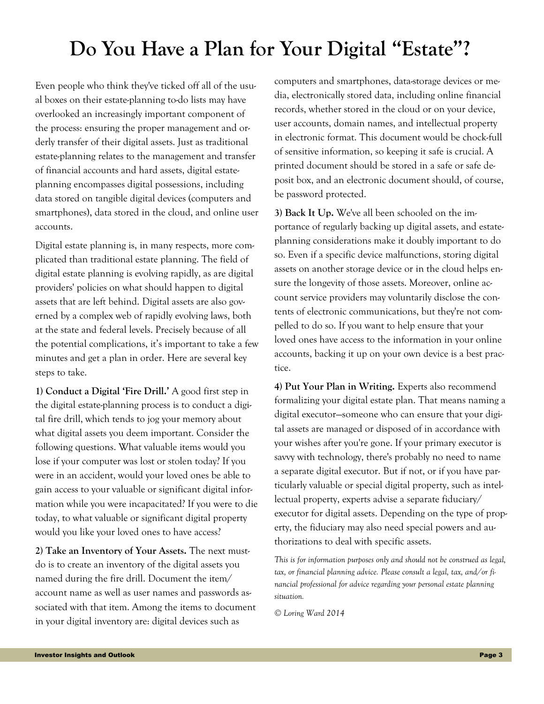## **Do You Have a Plan for Your Digital "Estate"?**

Even people who think they've ticked off all of the usual boxes on their estate-planning to-do lists may have overlooked an increasingly important component of the process: ensuring the proper management and orderly transfer of their digital assets. Just as traditional estate-planning relates to the management and transfer of financial accounts and hard assets, digital estateplanning encompasses digital possessions, including data stored on tangible digital devices (computers and smartphones), data stored in the cloud, and online user accounts.

Digital estate planning is, in many respects, more complicated than traditional estate planning. The field of digital estate planning is evolving rapidly, as are digital providers' policies on what should happen to digital assets that are left behind. Digital assets are also governed by a complex web of rapidly evolving laws, both at the state and federal levels. Precisely because of all the potential complications, it's important to take a few minutes and get a plan in order. Here are several key steps to take.

**1) Conduct a Digital 'Fire Drill.'** A good first step in the digital estate-planning process is to conduct a digital fire drill, which tends to jog your memory about what digital assets you deem important. Consider the following questions. What valuable items would you lose if your computer was lost or stolen today? If you were in an accident, would your loved ones be able to gain access to your valuable or significant digital information while you were incapacitated? If you were to die today, to what valuable or significant digital property would you like your loved ones to have access?

**2) Take an Inventory of Your Assets.** The next mustdo is to create an inventory of the digital assets you named during the fire drill. Document the item/ account name as well as user names and passwords associated with that item. Among the items to document in your digital inventory are: digital devices such as

computers and smartphones, data-storage devices or media, electronically stored data, including online financial records, whether stored in the cloud or on your device, user accounts, domain names, and intellectual property in electronic format. This document would be chock-full of sensitive information, so keeping it safe is crucial. A printed document should be stored in a safe or safe deposit box, and an electronic document should, of course, be password protected.

**3) Back It Up.** We've all been schooled on the importance of regularly backing up digital assets, and estateplanning considerations make it doubly important to do so. Even if a specific device malfunctions, storing digital assets on another storage device or in the cloud helps ensure the longevity of those assets. Moreover, online account service providers may voluntarily disclose the contents of electronic communications, but they're not compelled to do so. If you want to help ensure that your loved ones have access to the information in your online accounts, backing it up on your own device is a best practice.

**4) Put Your Plan in Writing.** Experts also recommend formalizing your digital estate plan. That means naming a digital executor—someone who can ensure that your digital assets are managed or disposed of in accordance with your wishes after you're gone. If your primary executor is savvy with technology, there's probably no need to name a separate digital executor. But if not, or if you have particularly valuable or special digital property, such as intellectual property, experts advise a separate fiduciary/ executor for digital assets. Depending on the type of property, the fiduciary may also need special powers and authorizations to deal with specific assets.

*This is for information purposes only and should not be construed as legal, tax, or financial planning advice. Please consult a legal, tax, and/or financial professional for advice regarding your personal estate planning situation.* 

*© Loring Ward 2014*